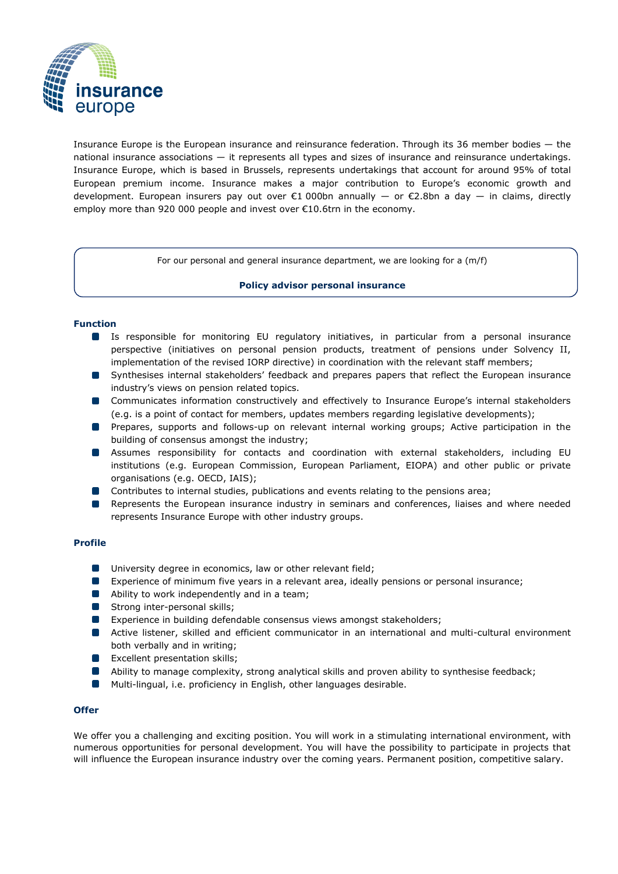

Insurance Europe is the European insurance and reinsurance federation. Through its 36 member bodies — the national insurance associations — it represents all types and sizes of insurance and reinsurance undertakings. Insurance Europe, which is based in Brussels, represents undertakings that account for around 95% of total European premium income. Insurance makes a major contribution to Europe's economic growth and development. European insurers pay out over  $\epsilon$ 1 000bn annually  $-$  or  $\epsilon$ 2.8bn a day  $-$  in claims, directly employ more than 920 000 people and invest over €10.6trn in the economy.

For our personal and general insurance department, we are looking for a (m/f)

### **Policy advisor personal insurance**

## **Function**

- Is responsible for monitoring EU regulatory initiatives, in particular from a personal insurance perspective (initiatives on personal pension products, treatment of pensions under Solvency II, implementation of the revised IORP directive) in coordination with the relevant staff members;
- **Synthesises internal stakeholders' feedback and prepares papers that reflect the European insurance** industry's views on pension related topics.
- **Communicates information constructively and effectively to Insurance Europe's internal stakeholders** (e.g. is a point of contact for members, updates members regarding legislative developments);
- **Prepares, supports and follows-up on relevant internal working groups; Active participation in the** building of consensus amongst the industry;
- Assumes responsibility for contacts and coordination with external stakeholders, including EU institutions (e.g. European Commission, European Parliament, EIOPA) and other public or private organisations (e.g. OECD, IAIS);
- **Contributes to internal studies, publications and events relating to the pensions area;**
- **B** Represents the European insurance industry in seminars and conferences, liaises and where needed represents Insurance Europe with other industry groups.

#### **Profile**

- **University degree in economics, law or other relevant field;**
- Experience of minimum five years in a relevant area, ideally pensions or personal insurance;
- **Ability to work independently and in a team;**
- **Strong inter-personal skills;**
- **EXperience in building defendable consensus views amongst stakeholders;**
- Active listener, skilled and efficient communicator in an international and multi-cultural environment both verbally and in writing;
- **EXCELLENT PRESENT EXCELLENT EXCELLENT DESCRIPTION**
- Ability to manage complexity, strong analytical skills and proven ability to synthesise feedback;
- **Multi-lingual, i.e. proficiency in English, other languages desirable.**

## **Offer**

We offer you a challenging and exciting position. You will work in a stimulating international environment, with numerous opportunities for personal development. You will have the possibility to participate in projects that will influence the European insurance industry over the coming years. Permanent position, competitive salary.